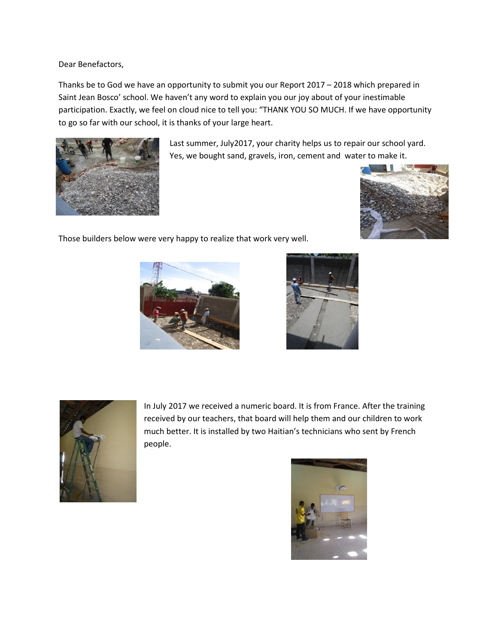Dear Benefactors,

Thanks be to God we have an opportunity to submit you our Report 2017 – 2018 which prepared in Saint Jean Bosco' school. We haven't any word to explain you our joy about of your inestimable participation. Exactly, we feel on cloud nice to tell you: "THANK YOU SO MUCH. If we have opportunity to go so far with our school, it is thanks of your large heart.



Last summer, July2017, your charity helps us to repair our school yard. Yes, we bought sand, gravels, iron, cement and water to make it.



Those builders below were very happy to realize that work very well.







In July 2017 we received a numeric board. It is from France. After the training received by our teachers, that board will help them and our children to work much better. It is installed by two Haitian's technicians who sent by French people.

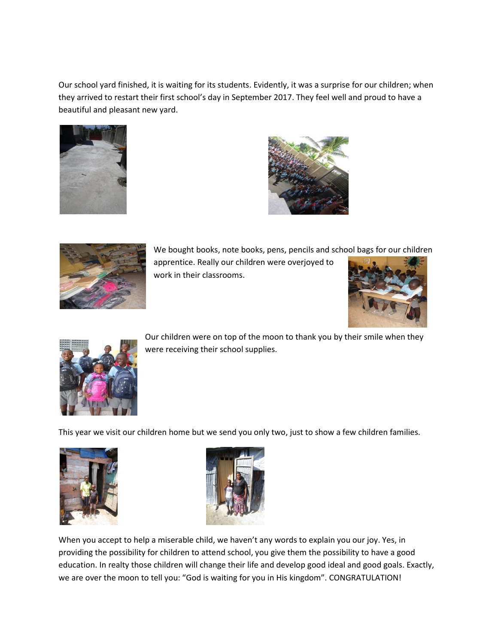Our school yard finished, it is waiting for its students. Evidently, it was a surprise for our children; when they arrived to restart their first school's day in September 2017. They feel well and proud to have a beautiful and pleasant new yard.







We bought books, note books, pens, pencils and school bags for our children

apprentice. Really our children were overjoyed to work in their classrooms.





Our children were on top of the moon to thank you by their smile when they were receiving their school supplies.

This year we visit our children home but we send you only two, just to show a few children families.





When you accept to help a miserable child, we haven't any words to explain you our joy. Yes, in providing the possibility for children to attend school, you give them the possibility to have a good education. In realty those children will change their life and develop good ideal and good goals. Exactly, we are over the moon to tell you: "God is waiting for you in His kingdom". CONGRATULATION!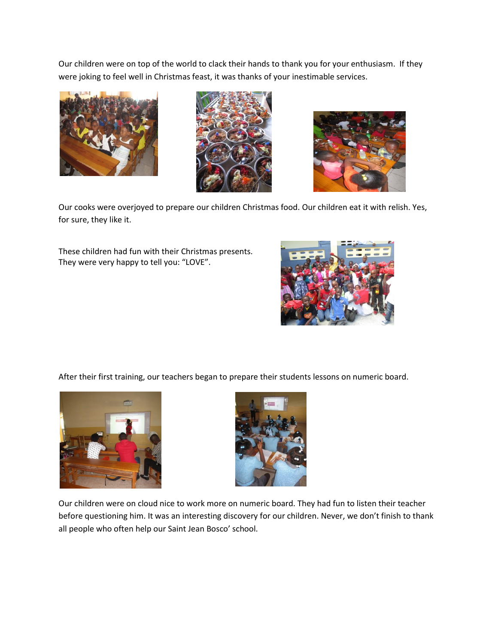Our children were on top of the world to clack their hands to thank you for your enthusiasm. If they were joking to feel well in Christmas feast, it was thanks of your inestimable services.







Our cooks were overjoyed to prepare our children Christmas food. Our children eat it with relish. Yes, for sure, they like it.

These children had fun with their Christmas presents. They were very happy to tell you: "LOVE".



After their first training, our teachers began to prepare their students lessons on numeric board.





Our children were on cloud nice to work more on numeric board. They had fun to listen their teacher before questioning him. It was an interesting discovery for our children. Never, we don't finish to thank all people who often help our Saint Jean Bosco' school.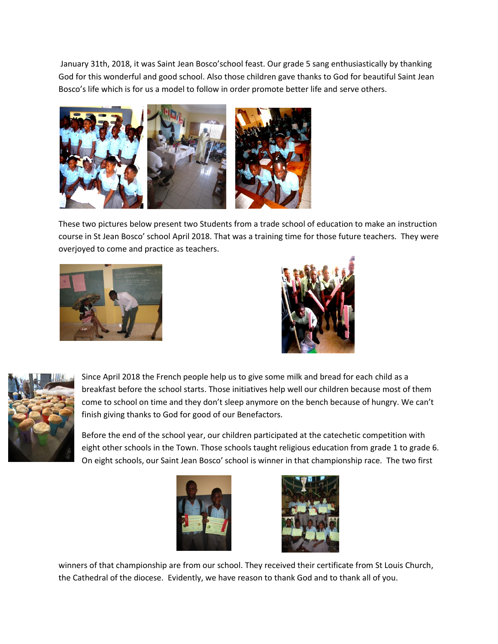January 31th, 2018, it was Saint Jean Bosco'school feast. Our grade 5 sang enthusiastically by thanking God for this wonderful and good school. Also those children gave thanks to God for beautiful Saint Jean Bosco's life which is for us a model to follow in order promote better life and serve others.



These two pictures below present two Students from a trade school of education to make an instruction course in St Jean Bosco' school April 2018. That was a training time for those future teachers. They were overjoyed to come and practice as teachers.







Since April 2018 the French people help us to give some milk and bread for each child as a breakfast before the school starts. Those initiatives help well our children because most of them come to school on time and they don't sleep anymore on the bench because of hungry. We can't finish giving thanks to God for good of our Benefactors.

Before the end of the school year, our children participated at the catechetic competition with eight other schools in the Town. Those schools taught religious education from grade 1 to grade 6. On eight schools, our Saint Jean Bosco' school is winner in that championship race. The two first





winners of that championship are from our school. They received their certificate from St Louis Church, the Cathedral of the diocese. Evidently, we have reason to thank God and to thank all of you.